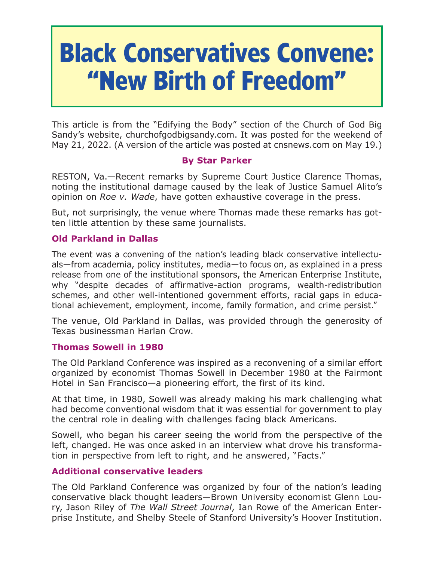# **Black Conservatives Convene: "New Birth of Freedom"**

This article is from the "Edifying the Body" section of the Church of God Big Sandy's website, churchofgodbigsandy.com. It was posted for the weekend of May 21, 2022. (A version of the article was posted at cnsnews.com on May 19.)

# **By Star Parker**

RESTON, Va.—Recent remarks by Supreme Court Justice Clarence Thomas, noting the institutional damage caused by the leak of Justice Samuel Alito's opinion on *Roe v. Wade*, have gotten exhaustive coverage in the press.

But, not surprisingly, the venue where Thomas made these remarks has gotten little attention by these same journalists.

## **Old Parkland in Dallas**

The event was a convening of the nation's leading black conservative intellectuals—from academia, policy institutes, media—to focus on, as explained in a press release from one of the institutional sponsors, the American Enterprise Institute, why "despite decades of affirmative-action programs, wealth-redistribution schemes, and other well-intentioned government efforts, racial gaps in educational achievement, employment, income, family formation, and crime persist."

The venue, Old Parkland in Dallas, was provided through the generosity of Texas businessman Harlan Crow.

## **Thomas Sowell in 1980**

The Old Parkland Conference was inspired as a reconvening of a similar effort organized by economist Thomas Sowell in December 1980 at the Fairmont Hotel in San Francisco—a pioneering effort, the first of its kind.

At that time, in 1980, Sowell was already making his mark challenging what had become conventional wisdom that it was essential for government to play the central role in dealing with challenges facing black Americans.

Sowell, who began his career seeing the world from the perspective of the left, changed. He was once asked in an interview what drove his transformation in perspective from left to right, and he answered, "Facts."

# **Additional conservative leaders**

The Old Parkland Conference was organized by four of the nation's leading conservative black thought leaders—Brown University economist Glenn Loury, Jason Riley of *The Wall Street Journal*, Ian Rowe of the American Enterprise Institute, and Shelby Steele of Stanford University's Hoover Institution.